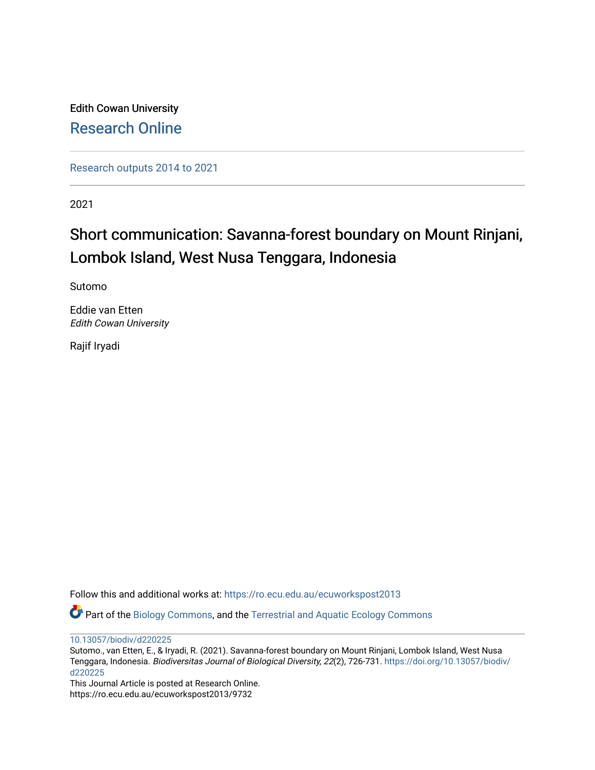Edith Cowan University [Research Online](https://ro.ecu.edu.au/) 

[Research outputs 2014 to 2021](https://ro.ecu.edu.au/ecuworkspost2013) 

2021

# Short communication: Savanna-forest boundary on Mount Rinjani, Lombok Island, West Nusa Tenggara, Indonesia

Sutomo

Eddie van Etten Edith Cowan University

Rajif Iryadi

Follow this and additional works at: [https://ro.ecu.edu.au/ecuworkspost2013](https://ro.ecu.edu.au/ecuworkspost2013?utm_source=ro.ecu.edu.au%2Fecuworkspost2013%2F9732&utm_medium=PDF&utm_campaign=PDFCoverPages) 

Part of the [Biology Commons,](http://network.bepress.com/hgg/discipline/41?utm_source=ro.ecu.edu.au%2Fecuworkspost2013%2F9732&utm_medium=PDF&utm_campaign=PDFCoverPages) and the [Terrestrial and Aquatic Ecology Commons](http://network.bepress.com/hgg/discipline/20?utm_source=ro.ecu.edu.au%2Fecuworkspost2013%2F9732&utm_medium=PDF&utm_campaign=PDFCoverPages)

[10.13057/biodiv/d220225](http://dx.doi.org/10.13057/biodiv/d220225) 

Sutomo., van Etten, E., & Iryadi, R. (2021). Savanna-forest boundary on Mount Rinjani, Lombok Island, West Nusa Tenggara, Indonesia. Biodiversitas Journal of Biological Diversity, 22(2), 726-731. [https://doi.org/10.13057/biodiv/](https://doi.org/10.13057/biodiv/d220225) [d220225](https://doi.org/10.13057/biodiv/d220225)

This Journal Article is posted at Research Online. https://ro.ecu.edu.au/ecuworkspost2013/9732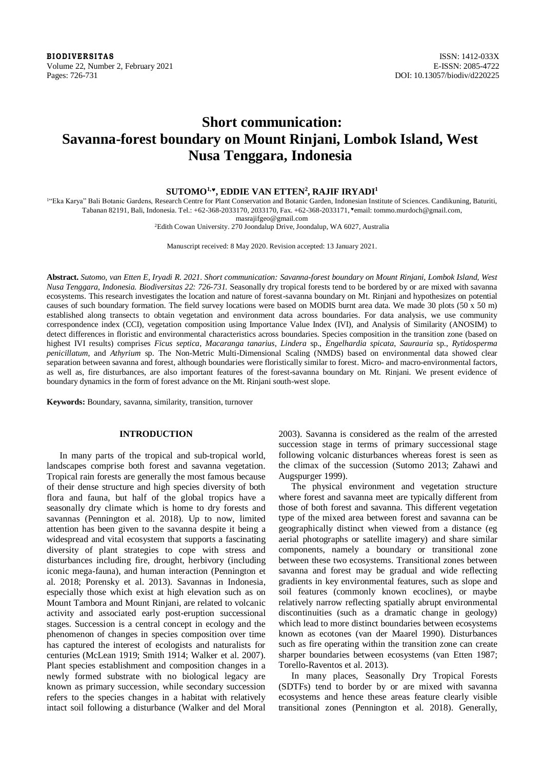**BIODIVERSITAS** ISSN: 1412-033X Volume 22, Number 2, February 2021 Contract the Contract of the Contract of the Contract of the Contract of the Contract of the Contract of the Contract of the Contract of the Contract of the Contract of the Contract of th Pages: 726-731 DOI: 10.13057/biodiv/d220225

# **Short communication: Savanna-forest boundary on Mount Rinjani, Lombok Island, West Nusa Tenggara, Indonesia**

# **SUTOMO1,, EDDIE VAN ETTEN<sup>2</sup> , RAJIF IRYADI<sup>1</sup>**

<sup>1</sup>"Eka Karya" Bali Botanic Gardens, Research Centre for Plant Conservation and Botanic Garden, Indonesian Institute of Sciences. Candikuning, Baturiti, Tabanan 82191, Bali, Indonesia. Tel.: +62-368-2033170, 2033170, Fax. +62-368-2033171, \*email: tommo.murdoch@gmail.com,

masrajifgeo@gmail.com

<sup>2</sup>Edith Cowan University. 270 Joondalup Drive, Joondalup, WA 6027, Australia

Manuscript received: 8 May 2020. Revision accepted: 13 January 2021.

**Abstract.** *Sutomo, van Etten E, Iryadi R. 2021. Short communication: Savanna-forest boundary on Mount Rinjani, Lombok Island, West Nusa Tenggara, Indonesia. Biodiversitas 22: 726-731.* Seasonally dry tropical forests tend to be bordered by or are mixed with savanna ecosystems. This research investigates the location and nature of forest-savanna boundary on Mt. Rinjani and hypothesizes on potential causes of such boundary formation. The field survey locations were based on MODIS burnt area data. We made 30 plots (50 x 50 m) established along transects to obtain vegetation and environment data across boundaries. For data analysis, we use community correspondence index (CCI), vegetation composition using Importance Value Index (IVI), and Analysis of Similarity (ANOSIM) to detect differences in floristic and environmental characteristics across boundaries. Species composition in the transition zone (based on highest IVI results) comprises *Ficus septica*, *Macaranga tanarius*, *Lindera* sp., *Engelhardia spicata*, *Saurauria* sp., *Rytidosperma penicillatum*, and *Athyrium* sp. The Non-Metric Multi-Dimensional Scaling (NMDS) based on environmental data showed clear separation between savanna and forest, although boundaries were floristically similar to forest. Micro- and macro-environmental factors, as well as, fire disturbances, are also important features of the forest-savanna boundary on Mt. Rinjani. We present evidence of boundary dynamics in the form of forest advance on the Mt. Rinjani south-west slope.

**Keywords:** Boundary, savanna, similarity, transition, turnover

### **INTRODUCTION**

In many parts of the tropical and sub-tropical world, landscapes comprise both forest and savanna vegetation. Tropical rain forests are generally the most famous because of their dense structure and high species diversity of both flora and fauna, but half of the global tropics have a seasonally dry climate which is home to dry forests and savannas (Pennington et al. 2018). Up to now, limited attention has been given to the savanna despite it being a widespread and vital ecosystem that supports a fascinating diversity of plant strategies to cope with stress and disturbances including fire, drought, herbivory (including iconic mega-fauna), and human interaction (Pennington et al. 2018; Porensky et al. 2013). Savannas in Indonesia, especially those which exist at high elevation such as on Mount Tambora and Mount Rinjani, are related to volcanic activity and associated early post-eruption successional stages. Succession is a central concept in ecology and the phenomenon of changes in species composition over time has captured the interest of ecologists and naturalists for centuries (McLean 1919; Smith 1914; Walker et al. 2007). Plant species establishment and composition changes in a newly formed substrate with no biological legacy are known as primary succession, while secondary succession refers to the species changes in a habitat with relatively intact soil following a disturbance (Walker and del Moral

2003). Savanna is considered as the realm of the arrested succession stage in terms of primary successional stage following volcanic disturbances whereas forest is seen as the climax of the succession (Sutomo 2013; Zahawi and Augspurger 1999).

The physical environment and vegetation structure where forest and savanna meet are typically different from those of both forest and savanna. This different vegetation type of the mixed area between forest and savanna can be geographically distinct when viewed from a distance (eg aerial photographs or satellite imagery) and share similar components, namely a boundary or transitional zone between these two ecosystems. Transitional zones between savanna and forest may be gradual and wide reflecting gradients in key environmental features, such as slope and soil features (commonly known ecoclines), or maybe relatively narrow reflecting spatially abrupt environmental discontinuities (such as a dramatic change in geology) which lead to more distinct boundaries between ecosystems known as ecotones (van der Maarel 1990). Disturbances such as fire operating within the transition zone can create sharper boundaries between ecosystems (van Etten 1987; Torello-Raventos et al. 2013).

In many places, Seasonally Dry Tropical Forests (SDTFs) tend to border by or are mixed with savanna ecosystems and hence these areas feature clearly visible transitional zones (Pennington et al. 2018). Generally,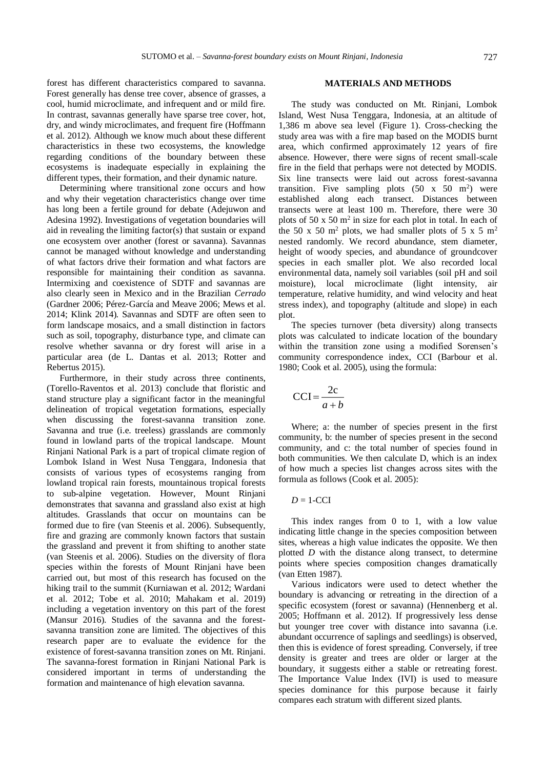forest has different characteristics compared to savanna. Forest generally has dense tree cover, absence of grasses, a cool, humid microclimate, and infrequent and or mild fire. In contrast, savannas generally have sparse tree cover, hot, dry, and windy microclimates, and frequent fire (Hoffmann et al. 2012). Although we know much about these different characteristics in these two ecosystems, the knowledge regarding conditions of the boundary between these ecosystems is inadequate especially in explaining the different types, their formation, and their dynamic nature.

Determining where transitional zone occurs and how and why their vegetation characteristics change over time has long been a fertile ground for debate (Adejuwon and Adesina 1992). Investigations of vegetation boundaries will aid in revealing the limiting factor(s) that sustain or expand one ecosystem over another (forest or savanna). Savannas cannot be managed without knowledge and understanding of what factors drive their formation and what factors are responsible for maintaining their condition as savanna*.*  Intermixing and coexistence of SDTF and savannas are also clearly seen in Mexico and in the Brazilian *Cerrado*  (Gardner 2006; Pérez‐García and Meave 2006; Mews et al. 2014; Klink 2014)*.* Savannas and SDTF are often seen to form landscape mosaics, and a small distinction in factors such as soil, topography, disturbance type, and climate can resolve whether savanna or dry forest will arise in a particular area (de L. Dantas et al. 2013; Rotter and Rebertus 2015).

Furthermore, in their study across three continents, (Torello-Raventos et al. 2013) conclude that floristic and stand structure play a significant factor in the meaningful delineation of tropical vegetation formations, especially when discussing the forest-savanna transition zone. Savanna and true (i.e. treeless) grasslands are commonly found in lowland parts of the tropical landscape. Mount Rinjani National Park is a part of tropical climate region of Lombok Island in West Nusa Tenggara, Indonesia that consists of various types of ecosystems ranging from lowland tropical rain forests, mountainous tropical forests to sub-alpine vegetation. However, Mount Rinjani demonstrates that savanna and grassland also exist at high altitudes. Grasslands that occur on mountains can be formed due to fire (van Steenis et al. 2006). Subsequently, fire and grazing are commonly known factors that sustain the grassland and prevent it from shifting to another state (van Steenis et al. 2006). Studies on the diversity of flora species within the forests of Mount Rinjani have been carried out, but most of this research has focused on the hiking trail to the summit (Kurniawan et al. 2012; Wardani et al. 2012; Tobe et al. 2010; Mahakam et al. 2019) including a vegetation inventory on this part of the forest (Mansur 2016). Studies of the savanna and the forestsavanna transition zone are limited. The objectives of this research paper are to evaluate the evidence for the existence of forest-savanna transition zones on Mt. Rinjani. The savanna-forest formation in Rinjani National Park is considered important in terms of understanding the formation and maintenance of high elevation savanna.

#### **MATERIALS AND METHODS**

The study was conducted on Mt. Rinjani, Lombok Island, West Nusa Tenggara, Indonesia, at an altitude of 1,386 m above sea level (Figure 1). Cross-checking the study area was with a fire map based on the MODIS burnt area, which confirmed approximately 12 years of fire absence. However, there were signs of recent small-scale fire in the field that perhaps were not detected by MODIS. Six line transects were laid out across forest-savanna transition. Five sampling plots  $(50 \times 50 \text{ m}^2)$  were established along each transect. Distances between transects were at least 100 m. Therefore, there were 30 plots of  $50 \times 50$  m<sup>2</sup> in size for each plot in total. In each of the 50 x 50 m<sup>2</sup> plots, we had smaller plots of 5 x 5 m<sup>2</sup> nested randomly. We record abundance, stem diameter, height of woody species, and abundance of groundcover species in each smaller plot. We also recorded local environmental data, namely soil variables (soil pH and soil moisture), local microclimate (light intensity, air temperature, relative humidity, and wind velocity and heat stress index), and topography (altitude and slope) in each plot.

The species turnover (beta diversity) along transects plots was calculated to indicate location of the boundary within the transition zone using a modified Sorensen's community correspondence index, CCI (Barbour et al. 1980; Cook et al. 2005), using the formula:

$$
CCI = \frac{2c}{a+b}
$$

Where; a: the number of species present in the first community, b: the number of species present in the second community, and c: the total number of species found in both communities. We then calculate D, which is an index of how much a species list changes across sites with the formula as follows (Cook et al. 2005):

 $D = 1$ -CCI

This index ranges from 0 to 1, with a low value indicating little change in the species composition between sites, whereas a high value indicates the opposite. We then plotted *D* with the distance along transect, to determine points where species composition changes dramatically (van Etten 1987).

Various indicators were used to detect whether the boundary is advancing or retreating in the direction of a specific ecosystem (forest or savanna) (Hennenberg et al. 2005; Hoffmann et al. 2012). If progressively less dense but younger tree cover with distance into savanna (i.e. abundant occurrence of saplings and seedlings) is observed, then this is evidence of forest spreading. Conversely, if tree density is greater and trees are older or larger at the boundary, it suggests either a stable or retreating forest. The Importance Value Index (IVI) is used to measure species dominance for this purpose because it fairly compares each stratum with different sized plants.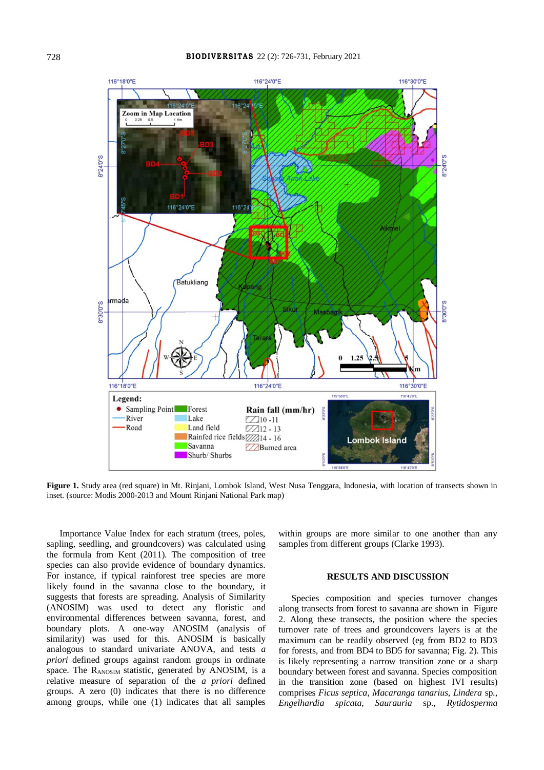

**Figure 1.** Study area (red square) in Mt. Rinjani, Lombok Island, West Nusa Tenggara, Indonesia, with location of transects shown in inset. (source: Modis 2000-2013 and Mount Rinjani National Park map)

Importance Value Index for each stratum (trees, poles, sapling, seedling, and groundcovers) was calculated using the formula from Kent (2011). The composition of tree species can also provide evidence of boundary dynamics. For instance, if typical rainforest tree species are more likely found in the savanna close to the boundary, it suggests that forests are spreading. Analysis of Similarity (ANOSIM) was used to detect any floristic and environmental differences between savanna, forest, and boundary plots. A one-way ANOSIM (analysis of similarity) was used for this. ANOSIM is basically analogous to standard univariate ANOVA, and tests *a priori* defined groups against random groups in ordinate space. The RANOSIM statistic, generated by ANOSIM, is a relative measure of separation of the *a priori* defined groups. A zero (0) indicates that there is no difference among groups, while one (1) indicates that all samples

within groups are more similar to one another than any samples from different groups (Clarke 1993).

## **RESULTS AND DISCUSSION**

Species composition and species turnover changes along transects from forest to savanna are shown in Figure 2. Along these transects, the position where the species turnover rate of trees and groundcovers layers is at the maximum can be readily observed (eg from BD2 to BD3 for forests, and from BD4 to BD5 for savanna; Fig. 2). This is likely representing a narrow transition zone or a sharp boundary between forest and savanna. Species composition in the transition zone (based on highest IVI results) comprises *Ficus septica*, *Macaranga tanarius*, *Lindera* sp., *Engelhardia spicata*, *Saurauria* sp., *Rytidosperma*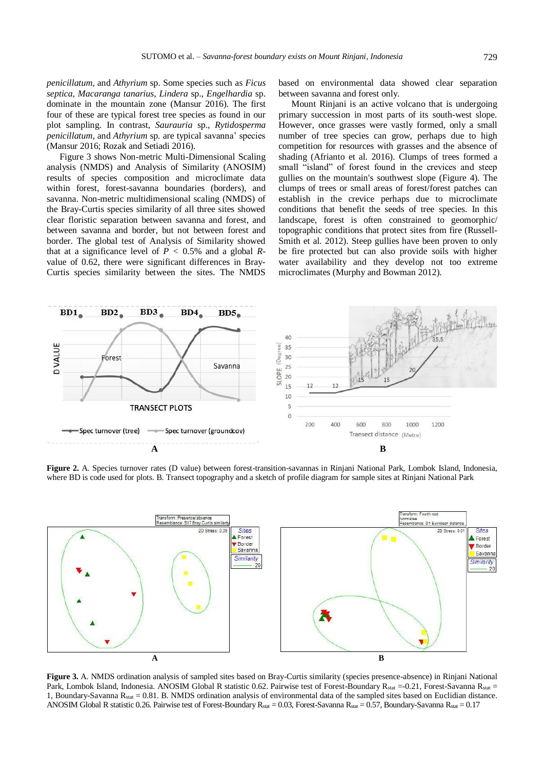*penicillatum*, and *Athyrium* sp. Some species such as *Ficus septica*, *Macaranga tanarius*, *Lindera* sp., *Engelhardia* sp. dominate in the mountain zone (Mansur 2016). The first four of these are typical forest tree species as found in our plot sampling. In contrast, *Saurauria* sp., *Rytidosperma penicillatum*, and *Athyrium* sp. are typical savanna' species (Mansur 2016; Rozak and Setiadi 2016).

Figure 3 shows Non-metric Multi-Dimensional Scaling analysis (NMDS) and Analysis of Similarity (ANOSIM) results of species composition and microclimate data within forest, forest-savanna boundaries (borders), and savanna. Non-metric multidimensional scaling (NMDS) of the Bray-Curtis species similarity of all three sites showed clear floristic separation between savanna and forest, and between savanna and border, but not between forest and border. The global test of Analysis of Similarity showed that at a significance level of  $P < 0.5\%$  and a global  $R$ value of 0.62, there were significant differences in Bray-Curtis species similarity between the sites. The NMDS based on environmental data showed clear separation between savanna and forest only.

Mount Rinjani is an active volcano that is undergoing primary succession in most parts of its south-west slope. However, once grasses were vastly formed, only a small number of tree species can grow, perhaps due to high competition for resources with grasses and the absence of shading (Afrianto et al. 2016). Clumps of trees formed a small "island" of forest found in the crevices and steep gullies on the mountain's southwest slope (Figure 4). The clumps of trees or small areas of forest/forest patches can establish in the crevice perhaps due to microclimate conditions that benefit the seeds of tree species. In this landscape, forest is often constrained to geomorphic/ topographic conditions that protect sites from fire (Russell-Smith et al. 2012). Steep gullies have been proven to only be fire protected but can also provide soils with higher water availability and they develop not too extreme microclimates (Murphy and Bowman 2012).



**Figure 2.** A. Species turnover rates (D value) between forest-transition-savannas in Rinjani National Park, Lombok Island, Indonesia, where BD is code used for plots. B. Transect topography and a sketch of profile diagram for sample sites at Rinjani National Park



**Figure 3.** A. NMDS ordination analysis of sampled sites based on Bray-Curtis similarity (species presence-absence) in Rinjani National Park, Lombok Island, Indonesia. ANOSIM Global R statistic 0.62. Pairwise test of Forest-Boundary R<sub>stat</sub> =-0.21, Forest-Savanna R<sub>stat</sub> = 1, Boundary-Savanna  $R_{stat} = 0.81$ . B. NMDS ordination analysis of environmental data of the sampled sites based on Euclidian distance. ANOSIM Global R statistic 0.26. Pairwise test of Forest-Boundary R<sub>stat</sub> = 0.03, Forest-Savanna R<sub>stat</sub> = 0.57, Boundary-Savanna R<sub>stat</sub> = 0.17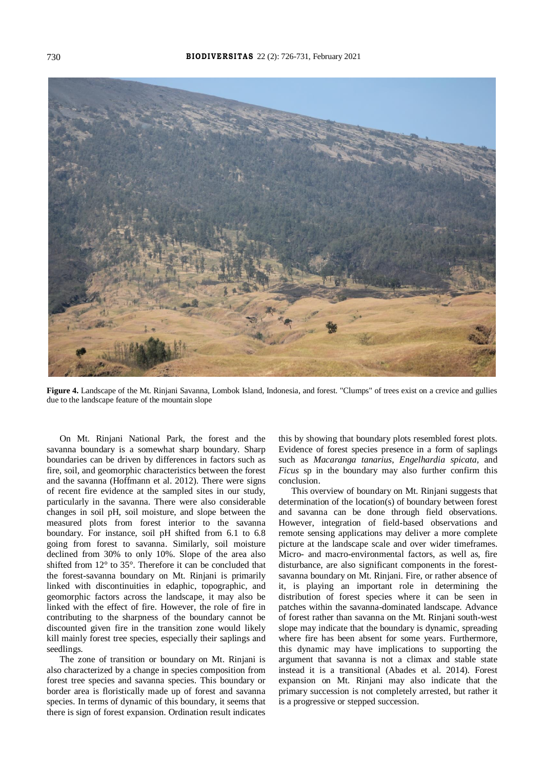

**Figure 4.** Landscape of the Mt. Rinjani Savanna, Lombok Island, Indonesia, and forest. "Clumps" of trees exist on a crevice and gullies due to the landscape feature of the mountain slope

On Mt. Rinjani National Park, the forest and the savanna boundary is a somewhat sharp boundary. Sharp boundaries can be driven by differences in factors such as fire, soil, and geomorphic characteristics between the forest and the savanna (Hoffmann et al. 2012). There were signs of recent fire evidence at the sampled sites in our study, particularly in the savanna. There were also considerable changes in soil pH, soil moisture, and slope between the measured plots from forest interior to the savanna boundary. For instance, soil pH shifted from 6.1 to 6.8 going from forest to savanna. Similarly, soil moisture declined from 30% to only 10%. Slope of the area also shifted from 12° to 35°. Therefore it can be concluded that the forest-savanna boundary on Mt. Rinjani is primarily linked with discontinuities in edaphic, topographic, and geomorphic factors across the landscape, it may also be linked with the effect of fire. However, the role of fire in contributing to the sharpness of the boundary cannot be discounted given fire in the transition zone would likely kill mainly forest tree species, especially their saplings and seedlings.

The zone of transition or boundary on Mt. Rinjani is also characterized by a change in species composition from forest tree species and savanna species. This boundary or border area is floristically made up of forest and savanna species. In terms of dynamic of this boundary, it seems that there is sign of forest expansion. Ordination result indicates

this by showing that boundary plots resembled forest plots. Evidence of forest species presence in a form of saplings such as *Macaranga tanarius*, *Engelhardia spicata,* and *Ficus* sp in the boundary may also further confirm this conclusion.

This overview of boundary on Mt. Rinjani suggests that determination of the location(s) of boundary between forest and savanna can be done through field observations. However, integration of field-based observations and remote sensing applications may deliver a more complete picture at the landscape scale and over wider timeframes. Micro- and macro-environmental factors, as well as, fire disturbance, are also significant components in the forestsavanna boundary on Mt. Rinjani. Fire, or rather absence of it, is playing an important role in determining the distribution of forest species where it can be seen in patches within the savanna-dominated landscape. Advance of forest rather than savanna on the Mt. Rinjani south-west slope may indicate that the boundary is dynamic, spreading where fire has been absent for some years. Furthermore, this dynamic may have implications to supporting the argument that savanna is not a climax and stable state instead it is a transitional (Abades et al. 2014). Forest expansion on Mt. Rinjani may also indicate that the primary succession is not completely arrested, but rather it is a progressive or stepped succession.